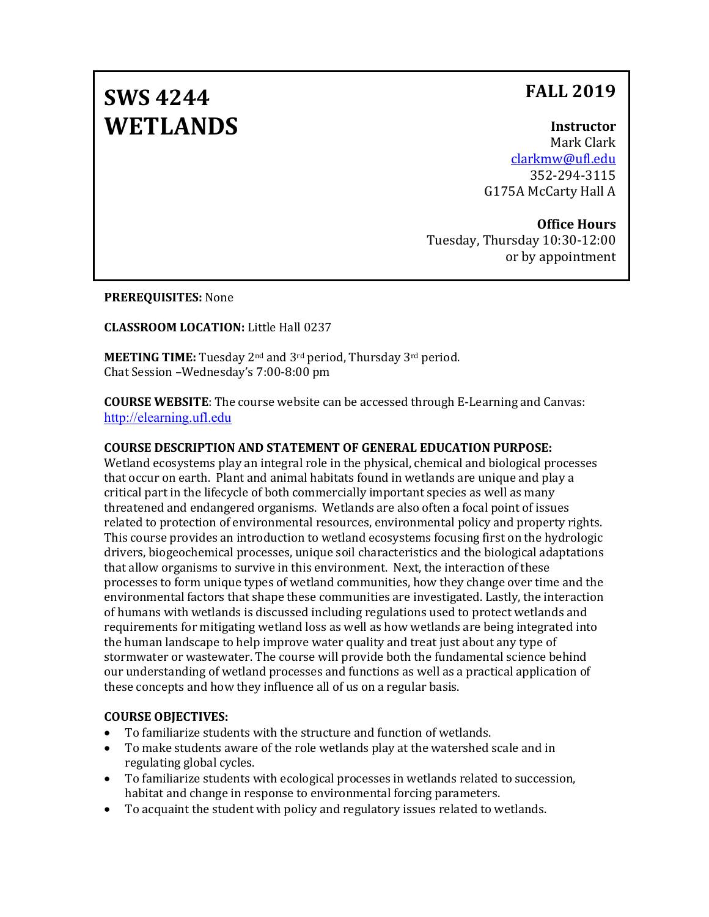## **FALL 2019**

# **SWS 4244 WETLANDS**

## **Instructor**

Mark Clark [clarkmw@ufl.edu](mailto:clarkmw@ufl.edu) 352-294-3115 G175A McCarty Hall A

## **Office Hours**

Tuesday, Thursday 10:30-12:00 or by appointment

**PREREQUISITES:** None

## **CLASSROOM LOCATION:** Little Hall 0237

**MEETING TIME:** Tuesday 2nd and 3rd period, Thursday 3rd period. Chat Session –Wednesday's 7:00-8:00 pm

**COURSE WEBSITE**: The course website can be accessed through E-Learning and Canvas: [http://elearning.ufl.edu](http://elearning.ufl.edu/)

## **COURSE DESCRIPTION AND STATEMENT OF GENERAL EDUCATION PURPOSE:**

Wetland ecosystems play an integral role in the physical, chemical and biological processes that occur on earth. Plant and animal habitats found in wetlands are unique and play a critical part in the lifecycle of both commercially important species as well as many threatened and endangered organisms. Wetlands are also often a focal point of issues related to protection of environmental resources, environmental policy and property rights. This course provides an introduction to wetland ecosystems focusing first on the hydrologic drivers, biogeochemical processes, unique soil characteristics and the biological adaptations that allow organisms to survive in this environment. Next, the interaction of these processes to form unique types of wetland communities, how they change over time and the environmental factors that shape these communities are investigated. Lastly, the interaction of humans with wetlands is discussed including regulations used to protect wetlands and requirements for mitigating wetland loss as well as how wetlands are being integrated into the human landscape to help improve water quality and treat just about any type of stormwater or wastewater. The course will provide both the fundamental science behind our understanding of wetland processes and functions as well as a practical application of these concepts and how they influence all of us on a regular basis.

## **COURSE OBJECTIVES:**

- To familiarize students with the structure and function of wetlands.
- To make students aware of the role wetlands play at the watershed scale and in regulating global cycles.
- To familiarize students with ecological processes in wetlands related to succession, habitat and change in response to environmental forcing parameters.
- To acquaint the student with policy and regulatory issues related to wetlands.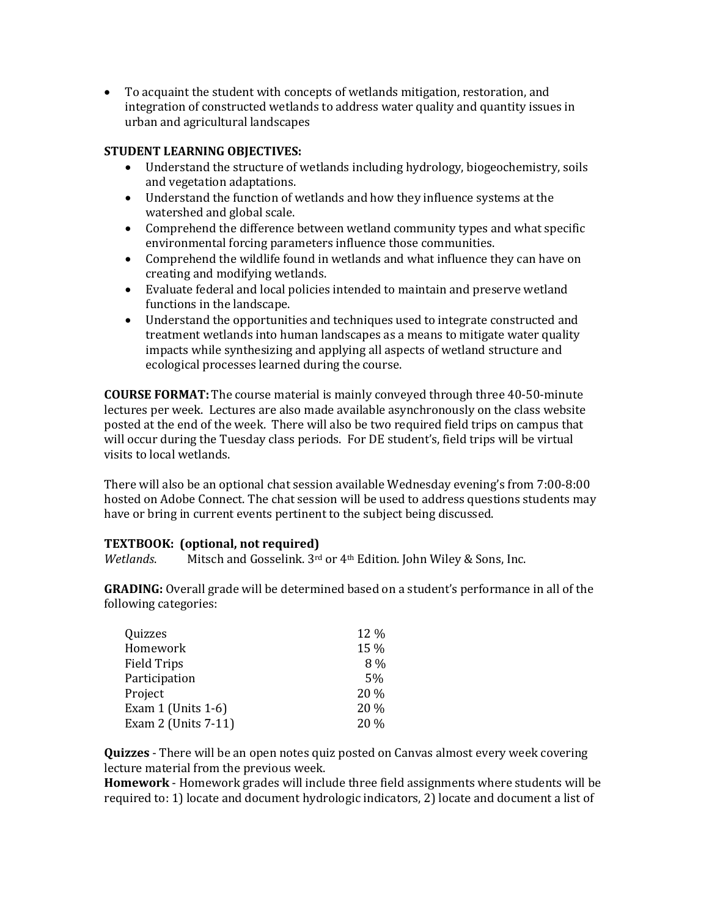• To acquaint the student with concepts of wetlands mitigation, restoration, and integration of constructed wetlands to address water quality and quantity issues in urban and agricultural landscapes

### **STUDENT LEARNING OBJECTIVES:**

- Understand the structure of wetlands including hydrology, biogeochemistry, soils and vegetation adaptations.
- Understand the function of wetlands and how they influence systems at the watershed and global scale.
- Comprehend the difference between wetland community types and what specific environmental forcing parameters influence those communities.
- Comprehend the wildlife found in wetlands and what influence they can have on creating and modifying wetlands.
- Evaluate federal and local policies intended to maintain and preserve wetland functions in the landscape.
- Understand the opportunities and techniques used to integrate constructed and treatment wetlands into human landscapes as a means to mitigate water quality impacts while synthesizing and applying all aspects of wetland structure and ecological processes learned during the course.

**COURSE FORMAT:** The course material is mainly conveyed through three 40-50-minute lectures per week. Lectures are also made available asynchronously on the class website posted at the end of the week. There will also be two required field trips on campus that will occur during the Tuesday class periods. For DE student's, field trips will be virtual visits to local wetlands.

There will also be an optional chat session available Wednesday evening's from 7:00-8:00 hosted on Adobe Connect. The chat session will be used to address questions students may have or bring in current events pertinent to the subject being discussed.

#### **TEXTBOOK: (optional, not required)**

*Wetlands*. Mitsch and Gosselink. 3rd or 4th Edition. John Wiley & Sons, Inc.

**GRADING:** Overall grade will be determined based on a student's performance in all of the following categories:

| Quizzes               | 12 % |
|-----------------------|------|
| Homework              | 15 % |
| <b>Field Trips</b>    | 8%   |
| Participation         | 5%   |
| Project               | 20 % |
| Exam 1 (Units $1-6$ ) | 20 % |
| Exam 2 (Units 7-11)   | 20 % |

**Quizzes** - There will be an open notes quiz posted on Canvas almost every week covering lecture material from the previous week.

**Homework** - Homework grades will include three field assignments where students will be required to: 1) locate and document hydrologic indicators, 2) locate and document a list of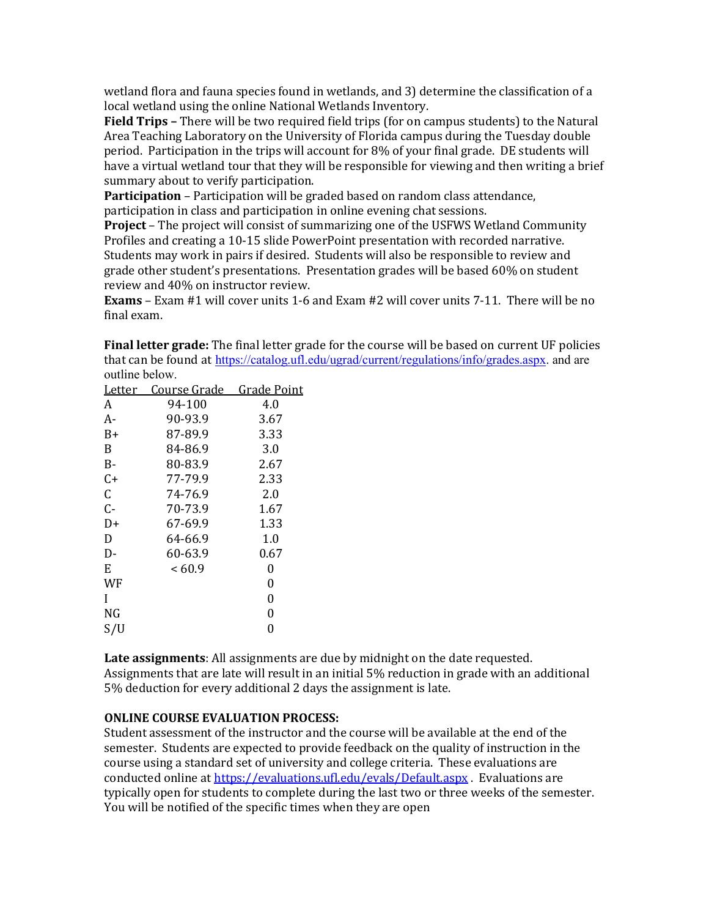wetland flora and fauna species found in wetlands, and 3) determine the classification of a local wetland using the online National Wetlands Inventory.

**Field Trips –** There will be two required field trips (for on campus students) to the Natural Area Teaching Laboratory on the University of Florida campus during the Tuesday double period. Participation in the trips will account for 8% of your final grade. DE students will have a virtual wetland tour that they will be responsible for viewing and then writing a brief summary about to verify participation.

**Participation** – Participation will be graded based on random class attendance, participation in class and participation in online evening chat sessions.

**Project** – The project will consist of summarizing one of the USFWS Wetland Community Profiles and creating a 10-15 slide PowerPoint presentation with recorded narrative. Students may work in pairs if desired. Students will also be responsible to review and grade other student's presentations. Presentation grades will be based 60% on student review and 40% on instructor review.

**Exams** – Exam #1 will cover units 1-6 and Exam #2 will cover units 7-11. There will be no final exam.

**Final letter grade:** The final letter grade for the course will be based on current UF policies that can be found at [https://catalog.ufl.edu/ugrad/current/regulations/info/grades.aspx.](https://catalog.ufl.edu/ugrad/current/regulations/info/grades.aspx) and are outline below.

| Letter | Course Grade | <b>Grade Point</b> |
|--------|--------------|--------------------|
| A      | 94-100       | 4.0                |
| А-     | 90-93.9      | 3.67               |
| $B+$   | 87-89.9      | 3.33               |
| B      | 84-86.9      | 3.0                |
| $B-$   | 80-83.9      | 2.67               |
| $C+$   | 77-79.9      | 2.33               |
| C      | 74-76.9      | 2.0                |
| $C -$  | 70-73.9      | 1.67               |
| D+     | 67-69.9      | 1.33               |
| D      | 64-66.9      | 1.0                |
| D-     | 60-63.9      | 0.67               |
| E      | < 60.9       | 0                  |
| WF     |              | 0                  |
| I      |              | 0                  |
| NG     |              | 0                  |
| S/U    |              | 0                  |
|        |              |                    |

**Late assignments**: All assignments are due by midnight on the date requested. Assignments that are late will result in an initial 5% reduction in grade with an additional 5% deduction for every additional 2 days the assignment is late.

#### **ONLINE COURSE EVALUATION PROCESS:**

Student assessment of the instructor and the course will be available at the end of the semester. Students are expected to provide feedback on the quality of instruction in the course using a standard set of university and college criteria. These evaluations are conducted online at<https://evaluations.ufl.edu/evals/Default.aspx> . Evaluations are typically open for students to complete during the last two or three weeks of the semester. You will be notified of the specific times when they are open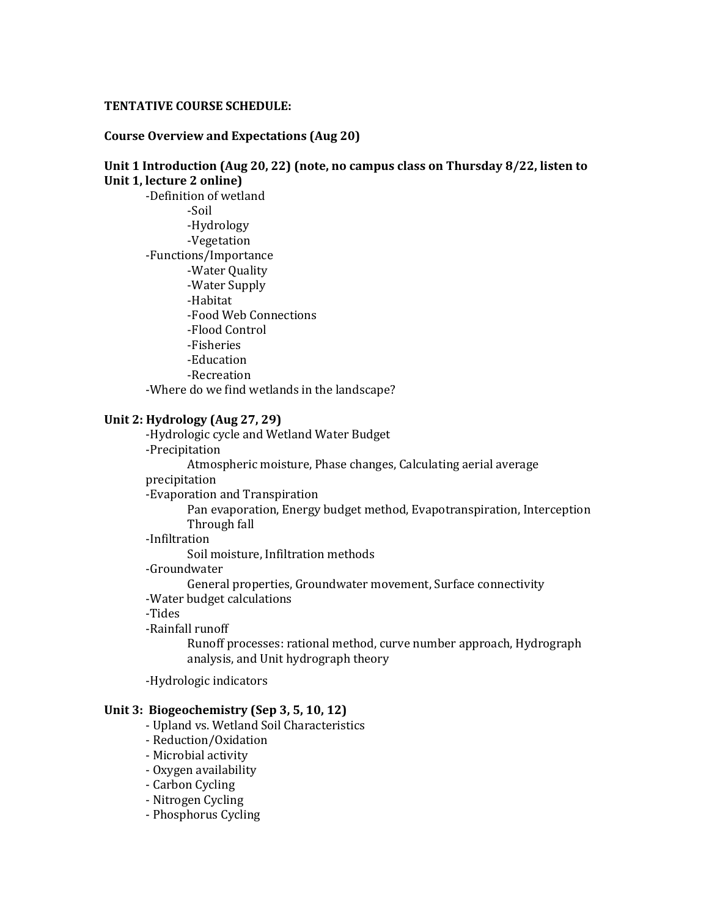#### **TENTATIVE COURSE SCHEDULE:**

#### **Course Overview and Expectations (Aug 20)**

## **Unit 1 Introduction (Aug 20, 22) (note, no campus class on Thursday 8/22, listen to Unit 1, lecture 2 online)** -Definition of wetland -Soil -Hydrology -Vegetation -Functions/Importance -Water Quality -Water Supply -Habitat -Food Web Connections -Flood Control -Fisheries -Education -Recreation -Where do we find wetlands in the landscape?

#### **Unit 2: Hydrology (Aug 27, 29)**

-Hydrologic cycle and Wetland Water Budget -Precipitation Atmospheric moisture, Phase changes, Calculating aerial average

precipitation

-Evaporation and Transpiration

Pan evaporation, Energy budget method, Evapotranspiration, Interception Through fall

#### -Infiltration

Soil moisture, Infiltration methods

-Groundwater

General properties, Groundwater movement, Surface connectivity

- -Water budget calculations
- -Tides
- -Rainfall runoff

Runoff processes: rational method, curve number approach, Hydrograph analysis, and Unit hydrograph theory

-Hydrologic indicators

#### **Unit 3: Biogeochemistry (Sep 3, 5, 10, 12)**

- Upland vs. Wetland Soil Characteristics
- Reduction/Oxidation
- Microbial activity
- Oxygen availability
- Carbon Cycling
- Nitrogen Cycling
- Phosphorus Cycling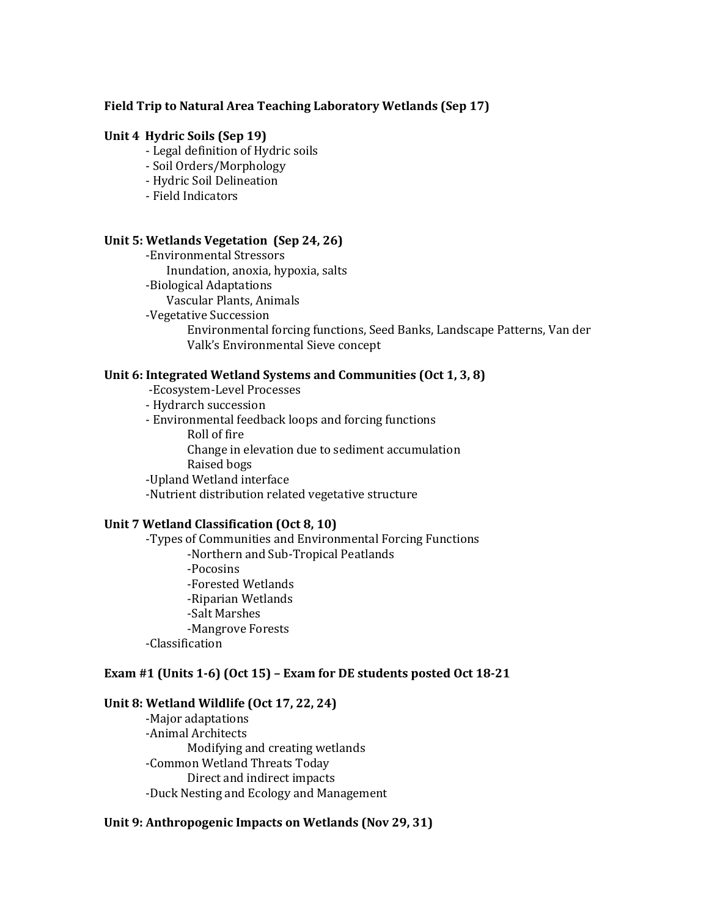#### **Field Trip to Natural Area Teaching Laboratory Wetlands (Sep 17)**

#### **Unit 4 Hydric Soils (Sep 19)**

- Legal definition of Hydric soils
- Soil Orders/Morphology
- Hydric Soil Delineation
- Field Indicators

#### **Unit 5: Wetlands Vegetation (Sep 24, 26)**

-Environmental Stressors Inundation, anoxia, hypoxia, salts -Biological Adaptations Vascular Plants, Animals -Vegetative Succession Environmental forcing functions, Seed Banks, Landscape Patterns, Van der Valk's Environmental Sieve concept

#### **Unit 6: Integrated Wetland Systems and Communities (Oct 1, 3, 8)**

-Ecosystem-Level Processes

- Hydrarch succession
- Environmental feedback loops and forcing functions Roll of fire Change in elevation due to sediment accumulation Raised bogs -Upland Wetland interface -Nutrient distribution related vegetative structure

#### **Unit 7 Wetland Classification (Oct 8, 10)**

-Types of Communities and Environmental Forcing Functions -Northern and Sub-Tropical Peatlands -Pocosins -Forested Wetlands -Riparian Wetlands -Salt Marshes -Mangrove Forests -Classification

#### **Exam #1 (Units 1-6) (Oct 15) – Exam for DE students posted Oct 18-21**

#### **Unit 8: Wetland Wildlife (Oct 17, 22, 24)**

-Major adaptations -Animal Architects Modifying and creating wetlands -Common Wetland Threats Today Direct and indirect impacts -Duck Nesting and Ecology and Management

#### **Unit 9: Anthropogenic Impacts on Wetlands (Nov 29, 31)**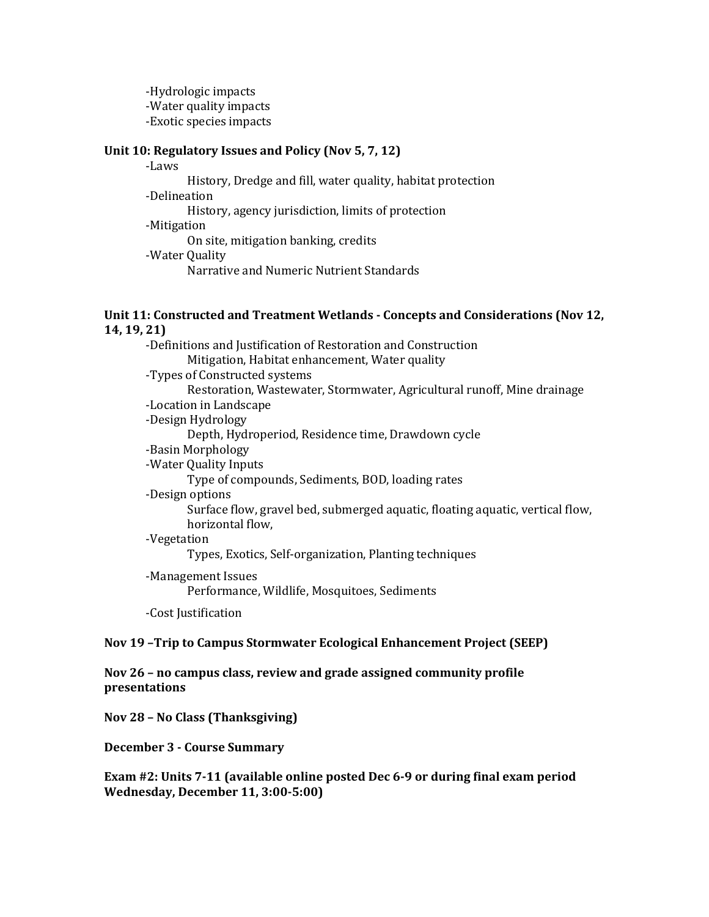-Hydrologic impacts -Water quality impacts -Exotic species impacts

#### **Unit 10: Regulatory Issues and Policy (Nov 5, 7, 12)**

-Laws History, Dredge and fill, water quality, habitat protection -Delineation History, agency jurisdiction, limits of protection -Mitigation On site, mitigation banking, credits -Water Quality Narrative and Numeric Nutrient Standards

#### **Unit 11: Constructed and Treatment Wetlands - Concepts and Considerations (Nov 12, 14, 19, 21)**

| -Definitions and Justification of Restoration and Construction                |
|-------------------------------------------------------------------------------|
| Mitigation, Habitat enhancement, Water quality                                |
| -Types of Constructed systems                                                 |
| Restoration, Wastewater, Stormwater, Agricultural runoff, Mine drainage       |
| -Location in Landscape                                                        |
| -Design Hydrology                                                             |
| Depth, Hydroperiod, Residence time, Drawdown cycle                            |
| -Basin Morphology                                                             |
| -Water Quality Inputs                                                         |
| Type of compounds, Sediments, BOD, loading rates                              |
| -Design options                                                               |
| Surface flow, gravel bed, submerged aquatic, floating aquatic, vertical flow, |
| horizontal flow,                                                              |
| -Vegetation                                                                   |
| Types, Exotics, Self-organization, Planting techniques                        |
| -Management Issues                                                            |
| Performance, Wildlife, Mosquitoes, Sediments                                  |
| -Cost Justification                                                           |
|                                                                               |

#### **Nov 19 –Trip to Campus Stormwater Ecological Enhancement Project (SEEP)**

**Nov 26 – no campus class, review and grade assigned community profile presentations**

**Nov 28 – No Class (Thanksgiving)**

**December 3 - Course Summary**

**Exam #2: Units 7-11 (available online posted Dec 6-9 or during final exam period Wednesday, December 11, 3:00-5:00)**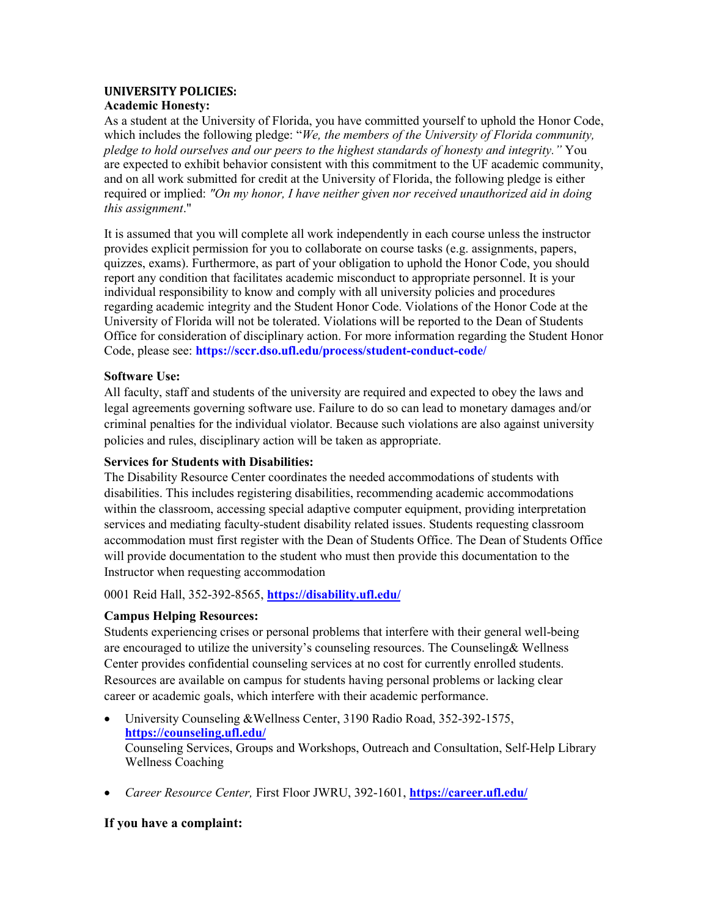#### **UNIVERSITY POLICIES:**

#### **Academic Honesty:**

As a student at the University of Florida, you have committed yourself to uphold the Honor Code, which includes the following pledge: "*We, the members of the University of Florida community, pledge to hold ourselves and our peers to the highest standards of honesty and integrity."* You are expected to exhibit behavior consistent with this commitment to the UF academic community, and on all work submitted for credit at the University of Florida, the following pledge is either required or implied: *"On my honor, I have neither given nor received unauthorized aid in doing this assignment*."

It is assumed that you will complete all work independently in each course unless the instructor provides explicit permission for you to collaborate on course tasks (e.g. assignments, papers, quizzes, exams). Furthermore, as part of your obligation to uphold the Honor Code, you should report any condition that facilitates academic misconduct to appropriate personnel. It is your individual responsibility to know and comply with all university policies and procedures regarding academic integrity and the Student Honor Code. Violations of the Honor Code at the University of Florida will not be tolerated. Violations will be reported to the Dean of Students Office for consideration of disciplinary action. For more information regarding the Student Honor Code, please see: **https://sccr.dso.ufl.edu/process/student-conduct-code/**

#### **Software Use:**

All faculty, staff and students of the university are required and expected to obey the laws and legal agreements governing software use. Failure to do so can lead to monetary damages and/or criminal penalties for the individual violator. Because such violations are also against university policies and rules, disciplinary action will be taken as appropriate.

#### **Services for Students with Disabilities:**

The Disability Resource Center coordinates the needed accommodations of students with disabilities. This includes registering disabilities, recommending academic accommodations within the classroom, accessing special adaptive computer equipment, providing interpretation services and mediating faculty-student disability related issues. Students requesting classroom accommodation must first register with the Dean of Students Office. The Dean of Students Office will provide documentation to the student who must then provide this documentation to the Instructor when requesting accommodation

0001 Reid Hall, 352-392-8565, **https://disability.ufl.edu/**

## **Campus Helping Resources:**

Students experiencing crises or personal problems that interfere with their general well-being are encouraged to utilize the university's counseling resources. The Counseling& Wellness Center provides confidential counseling services at no cost for currently enrolled students. Resources are available on campus for students having personal problems or lacking clear career or academic goals, which interfere with their academic performance.

- University Counseling &Wellness Center, 3190 Radio Road, 352-392-1575, **<https://counseling.ufl.edu/>** Counseling Services, Groups and Workshops, Outreach and Consultation, Self-Help Library Wellness Coaching
- *Career Resource Center,* First Floor JWRU, 392-1601, **https://career.ufl.edu/**

## **If you have a complaint:**